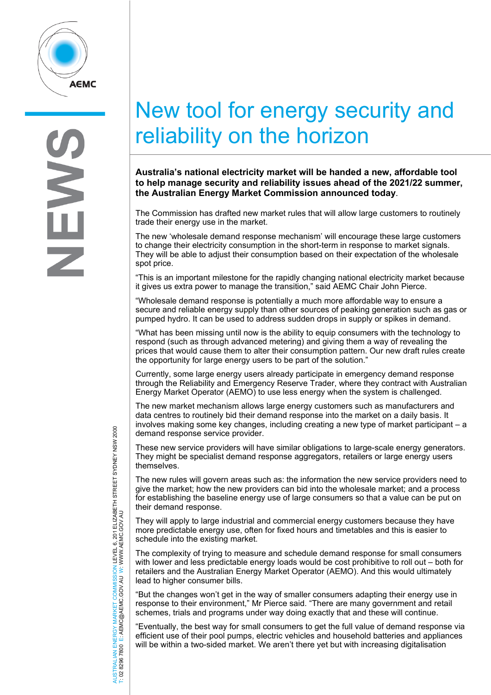

S

## New tool for energy security and reliability on the horizon

**Australia's national electricity market will be handed a new, affordable tool to help manage security and reliability issues ahead of the 2021/22 summer, the Australian Energy Market Commission announced today**.

The Commission has drafted new market rules that will allow large customers to routinely trade their energy use in the market.

The new 'wholesale demand response mechanism' will encourage these large customers to change their electricity consumption in the short-term in response to market signals. They will be able to adjust their consumption based on their expectation of the wholesale spot price.

"This is an important milestone for the rapidly changing national electricity market because it gives us extra power to manage the transition," said AEMC Chair John Pierce.

"Wholesale demand response is potentially a much more affordable way to ensure a secure and reliable energy supply than other sources of peaking generation such as gas or pumped hydro. It can be used to address sudden drops in supply or spikes in demand.

"What has been missing until now is the ability to equip consumers with the technology to respond (such as through advanced metering) and giving them a way of revealing the prices that would cause them to alter their consumption pattern. Our new draft rules create the opportunity for large energy users to be part of the solution."

Currently, some large energy users already participate in emergency demand response through the Reliability and Emergency Reserve Trader, where they contract with Australian Energy Market Operator (AEMO) to use less energy when the system is challenged.

The new market mechanism allows large energy customers such as manufacturers and data centres to routinely bid their demand response into the market on a daily basis. It involves making some key changes, including creating a new type of market participant – a demand response service provider.

These new service providers will have similar obligations to large-scale energy generators. They might be specialist demand response aggregators, retailers or large energy users themselves.

The new rules will govern areas such as: the information the new service providers need to give the market; how the new providers can bid into the wholesale market; and a process for establishing the baseline energy use of large consumers so that a value can be put on their demand response.

They will apply to large industrial and commercial energy customers because they have more predictable energy use, often for fixed hours and timetables and this is easier to schedule into the existing market.

The complexity of trying to measure and schedule demand response for small consumers with lower and less predictable energy loads would be cost prohibitive to roll out – both for retailers and the Australian Energy Market Operator (AEMO). And this would ultimately lead to higher consumer bills.

"But the changes won't get in the way of smaller consumers adapting their energy use in response to their environment," Mr Pierce said. "There are many government and retail schemes, trials and programs under way doing exactly that and these will continue.

"Eventually, the best way for small consumers to get the full value of demand response via efficient use of their pool pumps, electric vehicles and household batteries and appliances will be within a two-sided market. We aren't there yet but with increasing digitalisation

AUSTRALIAN ENERGY MARKET COMMISSION LEVEL 6, 201 ELIZABETH STREET SYDNEY NSW 2000 TRALIAN ENERGY MARKET COMMISSION LEVEL 6, 201 ELIZABETH STREET SYDNEY NSW 2000<br>8296 7800 E: AEMC@AEMC.GOV.AU W: WWW.AEMC.GOV.AU W: WWW.AEMC.GOV.AU T: 02 8296 7800 E: AEMC@AEMC.GOV.AU **ISL**  $\overline{8}$